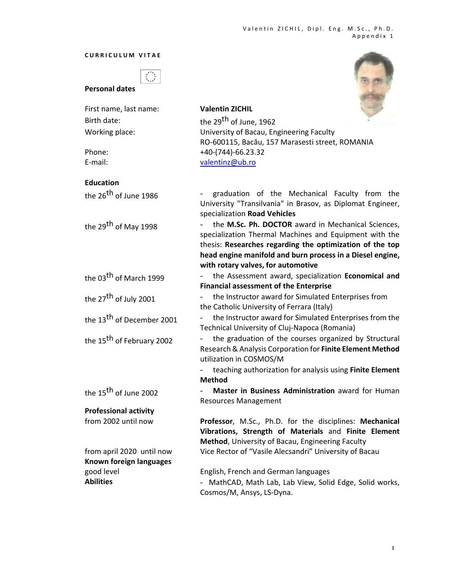## **CURRICULUM VITAE**

## **Personal dates**

**Professional activity** 

**Known foreign languages**

| First name, last name:                | <b>Valentin ZICHIL</b>                                     |
|---------------------------------------|------------------------------------------------------------|
| Birth date:                           | the 29 <sup>th</sup> of June, 1962                         |
| Working place:                        | University of Bacau, Engineering Faculty                   |
|                                       | RO-600115, Bacău, 157 Marasesti street, ROMANIA            |
| Phone:                                | +40-(744)-66.23.32                                         |
| E-mail:                               | valentinz@ub.ro                                            |
| <b>Education</b>                      |                                                            |
| the 26 <sup>th</sup> of June 1986     | - graduation of the Mechanical Faculty from the            |
|                                       | University "Transilvania" in Brasov, as Diplomat Engineer, |
|                                       | specialization Road Vehicles                               |
| $H_{2}$ 20 <sup>th</sup> $f_{1}$ 4000 | - the M.Sc. Ph. DOCTOR award in Mechanical Sciences        |

the 29th of May 1998 ‐ the **M.Sc. Ph. DOCTOR** award in Mechanical Sciences, specialization Thermal Machines and Equipment with the thesis: **Researches regarding the optimization of the top head engine manifold and burn process in a Diesel engine, with rotary valves, for automotive**

the 03th of March 1999 ‐ the Assessment award, specialization **Economical and Financial assessment of the Enterprise**

the 27<sup>th</sup> of July 2001 **•••** the Instructor award for Simulated Enterprises from the Catholic University of Ferrara (Italy)

the 13<sup>th</sup> of December 2001  $\qquad \qquad$  the Instructor award for Simulated Enterprises from the Technical University of Cluj‐Napoca (Romania)

the 15<sup>th</sup> of February 2002  $\qquad$  - the graduation of the courses organized by Structural Research & Analysis Corporation for **Finite Element Method** utilization in COSMOS/M

> ‐ teaching authorization for analysis using **Finite Element Method**

the 15th of June 2002 ‐ **Master in Business Administration** award for Human Resources Management

from 2002 until now **Professor**, M.Sc., Ph.D. for the disciplines: **Mechanical Vibrations, Strength of Materials**  and **Finite Element Method**, University of Bacau, Engineering Faculty from april 2020 until now Vice Rector of "Vasile Alecsandri" University of Bacau

good level English, French and German languages Abilities **Abilities Example 20** - MathCAD, Math Lab, Lab View, Solid Edge, Solid works, Cosmos/M, Ansys, LS‐Dyna.